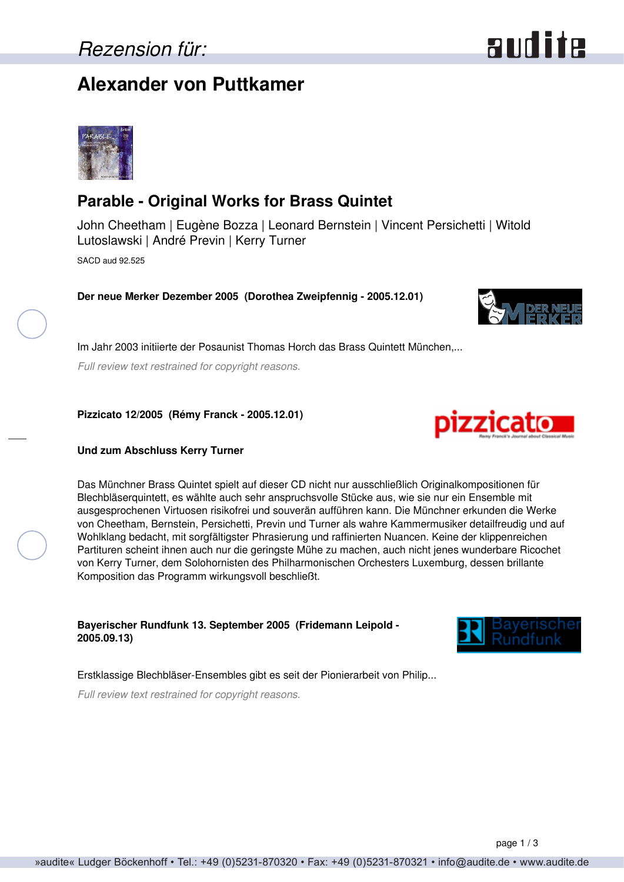## *Rezension für:*

## **Alexander von Puttkamer**

## **Parable - Original Works for Brass Quintet**

John Cheetham | Eugène Bozza | Leonard Bernstein | Vincent Persichetti | Witold Lutoslawski | André Previn | Kerry Turner SACD aud 92.525

**Der neue Merker Dezember 2005 (Dorothea Zweipfennig - 2005.12.01)**

Im Jahr 2003 initiierte der Posaunist Thomas Horch das Brass Quintett München,... *Full review text restrained for copyright reasons.*

**Pizzicato 12/2005 (Rémy Franck - 2005.12.01)**

#### **Und zum Abschluss Kerry Turner**

Das Münchner Brass Quintet spielt auf dieser CD nicht nur ausschließlich Originalkompositionen für Blechbläserquintett, es wählte auch sehr anspruchsvolle Stücke aus, wie sie nur ein Ensemble mit ausgesprochenen Virtuosen risikofrei und souverän aufführen kann. Die Münchner erkunden die Werke von Cheetham, Bernstein, Persichetti, Previn und Turner als wahre Kammermusiker detailfreudig und auf Wohlklang bedacht, mit sorgfältigster Phrasierung und raffinierten Nuancen. Keine der klippenreichen Partituren scheint ihnen auch nur die geringste Mühe zu machen, auch nicht jenes wunderbare Ricochet von Kerry Turner, dem Solohornisten des Philharmonischen Orchesters Luxemburg, dessen brillante Komposition das Programm wirkungsvoll beschließt.

**Bayerischer Rundfunk 13. September 2005 (Fridemann Leipold - 2005.09.13)**

Erstklassige Blechbläser-Ensembles gibt es seit der Pionierarbeit von Philip...

*Full review text restrained for copyright reasons.*









# audite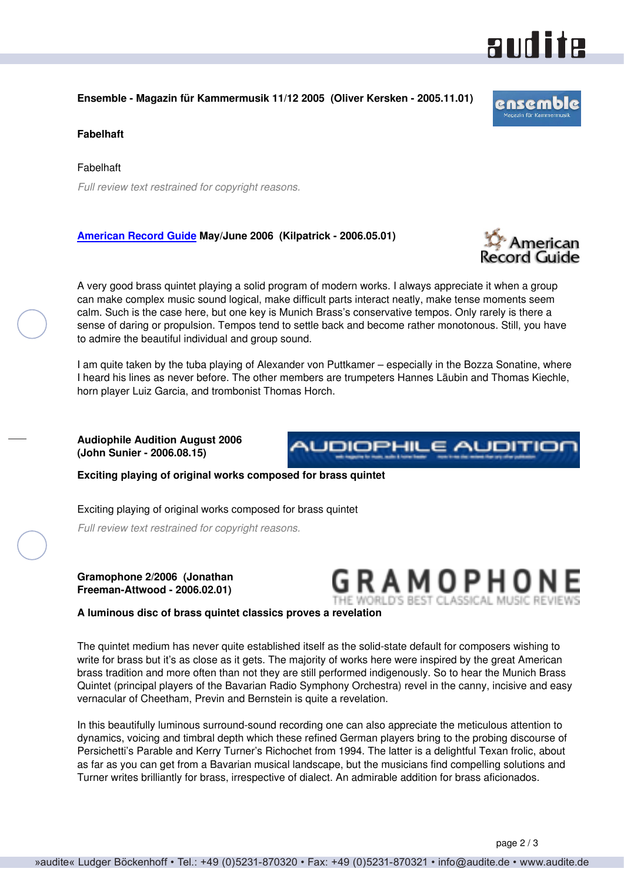

#### **Ensemble - Magazin für Kammermusik 11/12 2005 (Oliver Kersken - 2005.11.01)**

#### **Fabelhaft**

Fabelhaft *Full review text restrained for copyright reasons.*

#### **[American Record Guide](http://www.americanrecordguide.com) May/June 2006 (Kilpatrick - 2006.05.01)**

A very good brass quintet playing a solid program of modern works. I always appreciate it when a group can make complex music sound logical, make difficult parts interact neatly, make tense moments seem calm. Such is the case here, but one key is Munich Brass's conservative tempos. Only rarely is there a sense of daring or propulsion. Tempos tend to settle back and become rather monotonous. Still, you have to admire the beautiful individual and group sound.

I am quite taken by the tuba playing of Alexander von Puttkamer – especially in the Bozza Sonatine, where I heard his lines as never before. The other members are trumpeters Hannes Läubin and Thomas Kiechle, horn player Luiz Garcia, and trombonist Thomas Horch.

**Audiophile Audition August 2006 (John Sunier - 2006.08.15)**

**Exciting playing of original works composed for brass quintet**

Exciting playing of original works composed for brass quintet

*Full review text restrained for copyright reasons.*

#### **Gramophone 2/2006 (Jonathan Freeman-Attwood - 2006.02.01)**

**A luminous disc of brass quintet classics proves a revelation**

The quintet medium has never quite established itself as the solid-state default for composers wishing to write for brass but it's as close as it gets. The majority of works here were inspired by the great American brass tradition and more often than not they are still performed indigenously. So to hear the Munich Brass Quintet (principal players of the Bavarian Radio Symphony Orchestra) revel in the canny, incisive and easy vernacular of Cheetham, Previn and Bernstein is quite a revelation.

In this beautifully luminous surround-sound recording one can also appreciate the meticulous attention to dynamics, voicing and timbral depth which these refined German players bring to the probing discourse of Persichetti's Parable and Kerry Turner's Richochet from 1994. The latter is a delightful Texan frolic, about as far as you can get from a Bavarian musical landscape, but the musicians find compelling solutions and Turner writes brilliantly for brass, irrespective of dialect. An admirable addition for brass aficionados.



**audite** 



AUDIOPHILE AUDITIOI